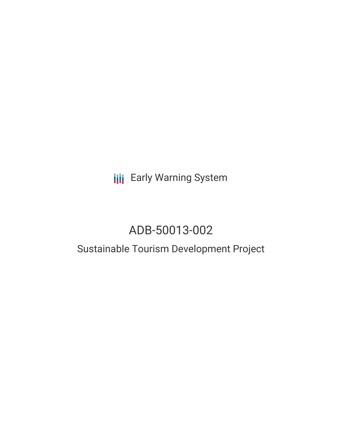**III** Early Warning System

# ADB-50013-002

## Sustainable Tourism Development Project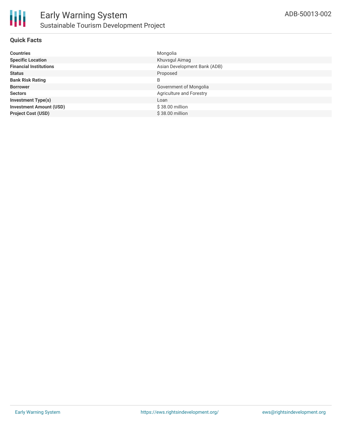### **Quick Facts**

| <b>Countries</b>               | Mongolia                     |
|--------------------------------|------------------------------|
| <b>Specific Location</b>       | Khuvsgul Aimag               |
| <b>Financial Institutions</b>  | Asian Development Bank (ADB) |
| <b>Status</b>                  | Proposed                     |
| <b>Bank Risk Rating</b>        | B                            |
| <b>Borrower</b>                | Government of Mongolia       |
| <b>Sectors</b>                 | Agriculture and Forestry     |
| <b>Investment Type(s)</b>      | Loan                         |
| <b>Investment Amount (USD)</b> | $$38.00$ million             |
| <b>Project Cost (USD)</b>      | \$38,00 million              |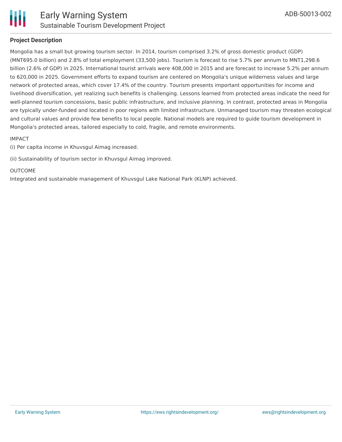

### **Project Description**

Mongolia has a small but growing tourism sector. In 2014, tourism comprised 3.2% of gross domestic product (GDP) (MNT695.0 billion) and 2.8% of total employment (33,500 jobs). Tourism is forecast to rise 5.7% per annum to MNT1,298.6 billion (2.6% of GDP) in 2025. International tourist arrivals were 408,000 in 2015 and are forecast to increase 5.2% per annum to 620,000 in 2025. Government efforts to expand tourism are centered on Mongolia's unique wilderness values and large network of protected areas, which cover 17.4% of the country. Tourism presents important opportunities for income and livelihood diversification, yet realizing such benefits is challenging. Lessons learned from protected areas indicate the need for well-planned tourism concessions, basic public infrastructure, and inclusive planning. In contrast, protected areas in Mongolia are typically under-funded and located in poor regions with limited infrastructure. Unmanaged tourism may threaten ecological and cultural values and provide few benefits to local people. National models are required to guide tourism development in Mongolia's protected areas, tailored especially to cold, fragile, and remote environments.

#### IMPACT

(i) Per capita income in Khuvsgul Aimag increased.

(ii) Sustainability of tourism sector in Khuvsgul Aimag improved.

### OUTCOME

Integrated and sustainable management of Khuvsgul Lake National Park (KLNP) achieved.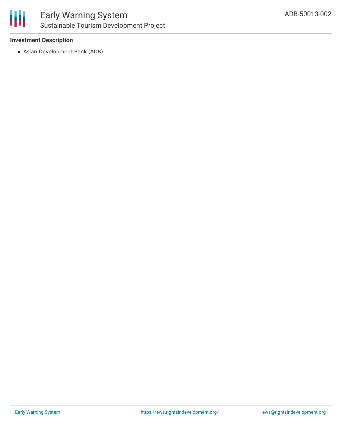

### Early Warning System Sustainable Tourism Development Project

### **Investment Description**

Asian Development Bank (ADB)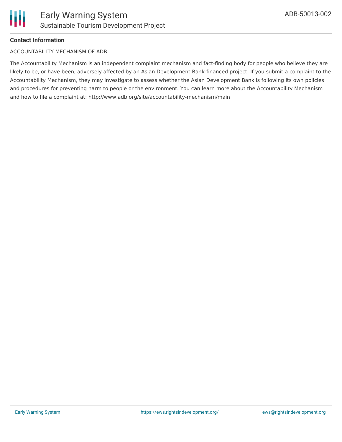

### **Contact Information**

#### ACCOUNTABILITY MECHANISM OF ADB

The Accountability Mechanism is an independent complaint mechanism and fact-finding body for people who believe they are likely to be, or have been, adversely affected by an Asian Development Bank-financed project. If you submit a complaint to the Accountability Mechanism, they may investigate to assess whether the Asian Development Bank is following its own policies and procedures for preventing harm to people or the environment. You can learn more about the Accountability Mechanism and how to file a complaint at: http://www.adb.org/site/accountability-mechanism/main